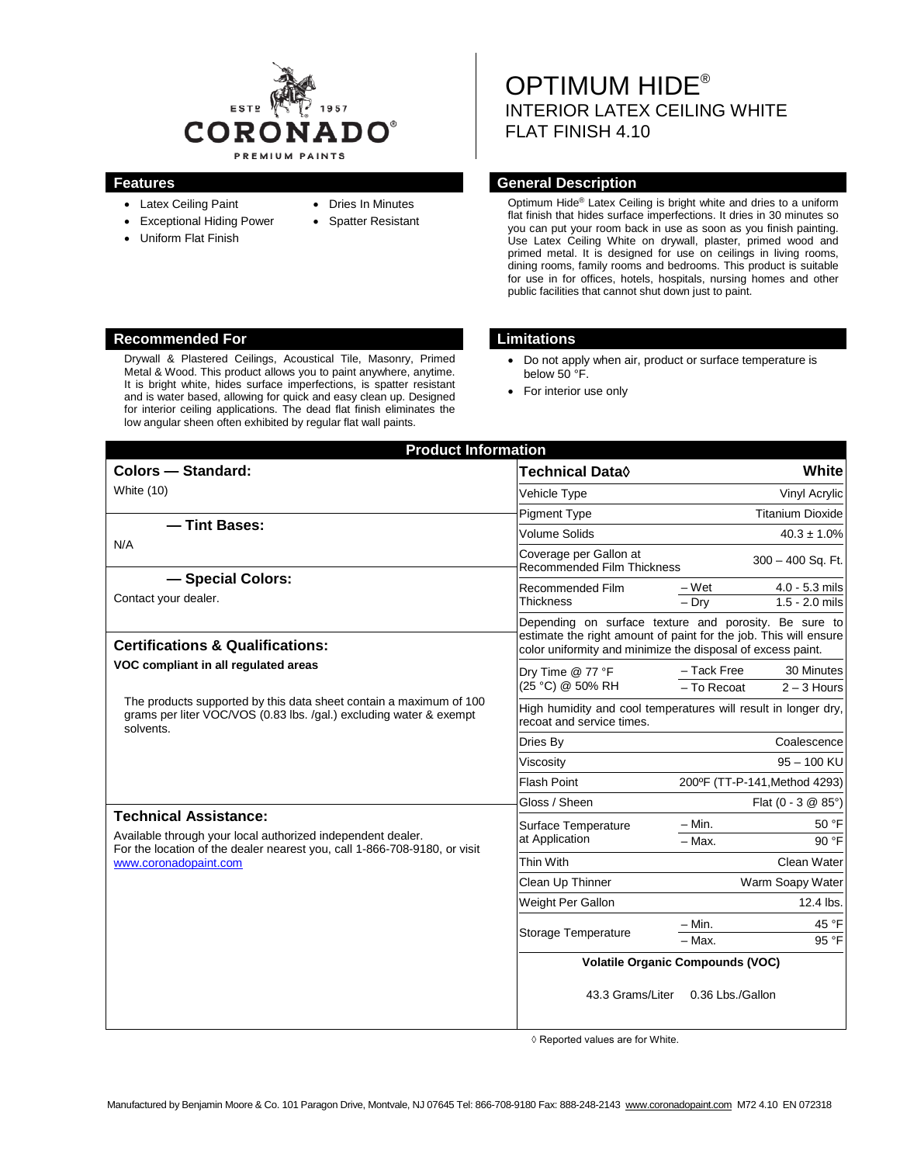

- Latex Ceiling Paint
- Exceptional Hiding Power
- Uniform Flat Finish
- Dries In Minutes
- Spatter Resistant
- OPTIMUM HIDE® INTERIOR LATEX CEILING WHITE FLAT FINISH 4.10

### **Features General Description**

Optimum Hide® Latex Ceiling is bright white and dries to a uniform flat finish that hides surface imperfections. It dries in 30 minutes so you can put your room back in use as soon as you finish painting. Use Latex Ceiling White on drywall, plaster, primed wood and primed metal. It is designed for use on ceilings in living rooms, dining rooms, family rooms and bedrooms. This product is suitable for use in for offices, hotels, hospitals, nursing homes and other public facilities that cannot shut down just to paint.

#### **Recommended For Limitations**

Drywall & Plastered Ceilings, Acoustical Tile, Masonry, Primed Metal & Wood. This product allows you to paint anywhere, anytime. It is bright white, hides surface imperfections, is spatter resistant and is water based, allowing for quick and easy clean up. Designed for interior ceiling applications. The dead flat finish eliminates the low angular sheen often exhibited by regular flat wall paints.

- Do not apply when air, product or surface temperature is below 50 °F.
- For interior use only

| <b>Product Information</b>                                                                                                                                                                                                                                                                                                                                                                         |                                                                                                                                 |                               |                                      |
|----------------------------------------------------------------------------------------------------------------------------------------------------------------------------------------------------------------------------------------------------------------------------------------------------------------------------------------------------------------------------------------------------|---------------------------------------------------------------------------------------------------------------------------------|-------------------------------|--------------------------------------|
| <b>Colors - Standard:</b>                                                                                                                                                                                                                                                                                                                                                                          | <b>Technical Data</b> ♦                                                                                                         |                               | White                                |
| White (10)                                                                                                                                                                                                                                                                                                                                                                                         | <b>Vehicle Type</b>                                                                                                             |                               | Vinyl Acrylic                        |
| - Tint Bases:<br>N/A                                                                                                                                                                                                                                                                                                                                                                               | <b>Pigment Type</b>                                                                                                             |                               | <b>Titanium Dioxide</b>              |
|                                                                                                                                                                                                                                                                                                                                                                                                    | <b>Volume Solids</b>                                                                                                            |                               | $40.3 \pm 1.0\%$                     |
|                                                                                                                                                                                                                                                                                                                                                                                                    | Coverage per Gallon at<br><b>Recommended Film Thickness</b>                                                                     | 300 - 400 Sq. Ft.             |                                      |
| - Special Colors:<br>Contact your dealer.                                                                                                                                                                                                                                                                                                                                                          | Recommended Film<br><b>Thickness</b>                                                                                            | – Wet<br>$-$ Dry              | $4.0 - 5.3$ mils<br>$1.5 - 2.0$ mils |
|                                                                                                                                                                                                                                                                                                                                                                                                    | Depending on surface texture and porosity. Be sure to                                                                           |                               |                                      |
| <b>Certifications &amp; Qualifications:</b>                                                                                                                                                                                                                                                                                                                                                        | estimate the right amount of paint for the job. This will ensure<br>color uniformity and minimize the disposal of excess paint. |                               |                                      |
| VOC compliant in all regulated areas<br>The products supported by this data sheet contain a maximum of 100<br>grams per liter VOC/VOS (0.83 lbs. /gal.) excluding water & exempt<br>solvents.<br><b>Technical Assistance:</b><br>Available through your local authorized independent dealer.<br>For the location of the dealer nearest you, call 1-866-708-9180, or visit<br>www.coronadopaint.com | Dry Time @ 77 °F<br>(25 °C) @ 50% RH                                                                                            | - Tack Free                   | 30 Minutes                           |
|                                                                                                                                                                                                                                                                                                                                                                                                    |                                                                                                                                 | - To Recoat                   | $2 - 3$ Hours                        |
|                                                                                                                                                                                                                                                                                                                                                                                                    | High humidity and cool temperatures will result in longer dry,<br>recoat and service times.                                     |                               |                                      |
|                                                                                                                                                                                                                                                                                                                                                                                                    | Dries By                                                                                                                        |                               | Coalescence                          |
|                                                                                                                                                                                                                                                                                                                                                                                                    | Viscosity                                                                                                                       | $95 - 100$ KU                 |                                      |
|                                                                                                                                                                                                                                                                                                                                                                                                    | <b>Flash Point</b>                                                                                                              | 200°F (TT-P-141, Method 4293) |                                      |
|                                                                                                                                                                                                                                                                                                                                                                                                    | Gloss / Sheen                                                                                                                   | Flat $(0 - 3 \& 85^{\circ})$  |                                      |
|                                                                                                                                                                                                                                                                                                                                                                                                    | Surface Temperature<br>at Application                                                                                           | $- Min.$                      | 50 °F                                |
|                                                                                                                                                                                                                                                                                                                                                                                                    |                                                                                                                                 | $-$ Max.                      | 90 °F                                |
|                                                                                                                                                                                                                                                                                                                                                                                                    | Thin With                                                                                                                       | Clean Water                   |                                      |
|                                                                                                                                                                                                                                                                                                                                                                                                    | Clean Up Thinner                                                                                                                | Warm Soapy Water              |                                      |
|                                                                                                                                                                                                                                                                                                                                                                                                    | Weight Per Gallon                                                                                                               | 12.4 lbs.                     |                                      |
|                                                                                                                                                                                                                                                                                                                                                                                                    | Storage Temperature                                                                                                             | $-$ Min.                      | 45 °F                                |
|                                                                                                                                                                                                                                                                                                                                                                                                    |                                                                                                                                 | $-$ Max.                      | 95 °F                                |
|                                                                                                                                                                                                                                                                                                                                                                                                    | <b>Volatile Organic Compounds (VOC)</b>                                                                                         |                               |                                      |
|                                                                                                                                                                                                                                                                                                                                                                                                    | 43.3 Grams/Liter                                                                                                                | 0.36 Lbs./Gallon              |                                      |

◊ Reported values are for White.